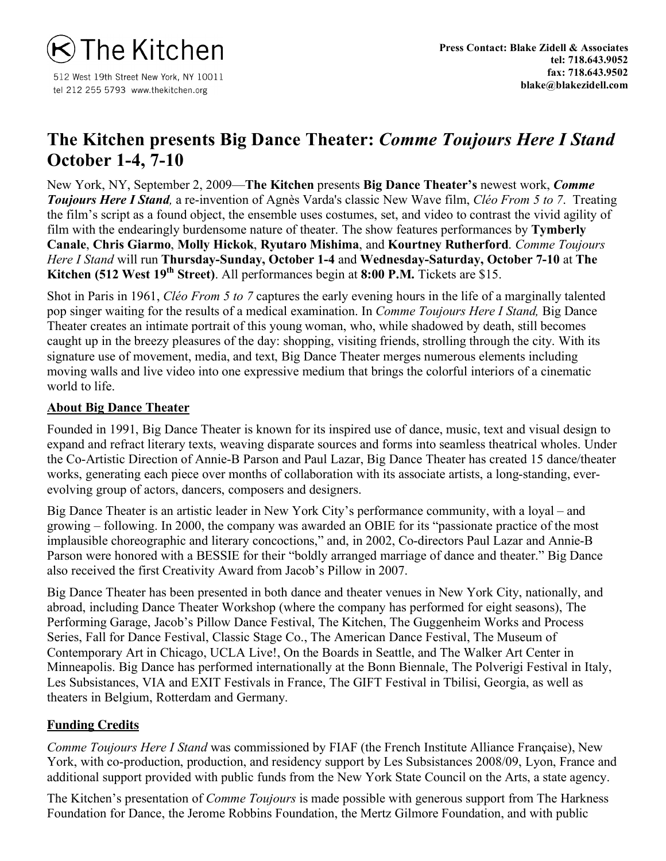

512 West 19th Street New York, NY 10011 tel 212 255 5793 www.thekitchen.org

## **The Kitchen presents Big Dance Theater:** *Comme Toujours Here I Stand* **October 1-4, 7-10**

New York, NY, September 2, 2009—**The Kitchen** presents **Big Dance Theater's** newest work, *Comme Toujours Here I Stand,* a re-invention of Agnès Varda's classic New Wave film, *Cléo From 5 to 7*. Treating the film's script as a found object, the ensemble uses costumes, set, and video to contrast the vivid agility of film with the endearingly burdensome nature of theater. The show features performances by **Tymberly Canale**, **Chris Giarmo**, **Molly Hickok**, **Ryutaro Mishima**, and **Kourtney Rutherford**. *Comme Toujours Here I Stand* will run **Thursday-Sunday, October 1-4** and **Wednesday-Saturday, October 7-10** at **The Kitchen (512 West 19<sup>th</sup> Street)**. All performances begin at **8:00 P.M.** Tickets are \$15.

Shot in Paris in 1961, *Cléo From 5 to 7* captures the early evening hours in the life of a marginally talented pop singer waiting for the results of a medical examination. In *Comme Toujours Here I Stand,* Big Dance Theater creates an intimate portrait of this young woman, who, while shadowed by death, still becomes caught up in the breezy pleasures of the day: shopping, visiting friends, strolling through the city. With its signature use of movement, media, and text, Big Dance Theater merges numerous elements including moving walls and live video into one expressive medium that brings the colorful interiors of a cinematic world to life.

## **About Big Dance Theater**

Founded in 1991, Big Dance Theater is known for its inspired use of dance, music, text and visual design to expand and refract literary texts, weaving disparate sources and forms into seamless theatrical wholes. Under the Co-Artistic Direction of Annie-B Parson and Paul Lazar, Big Dance Theater has created 15 dance/theater works, generating each piece over months of collaboration with its associate artists, a long-standing, everevolving group of actors, dancers, composers and designers.

Big Dance Theater is an artistic leader in New York City's performance community, with a loyal – and growing – following. In 2000, the company was awarded an OBIE for its "passionate practice of the most implausible choreographic and literary concoctions," and, in 2002, Co-directors Paul Lazar and Annie-B Parson were honored with a BESSIE for their "boldly arranged marriage of dance and theater." Big Dance also received the first Creativity Award from Jacob's Pillow in 2007.

Big Dance Theater has been presented in both dance and theater venues in New York City, nationally, and abroad, including Dance Theater Workshop (where the company has performed for eight seasons), The Performing Garage, Jacob's Pillow Dance Festival, The Kitchen, The Guggenheim Works and Process Series, Fall for Dance Festival, Classic Stage Co., The American Dance Festival, The Museum of Contemporary Art in Chicago, UCLA Live!, On the Boards in Seattle, and The Walker Art Center in Minneapolis. Big Dance has performed internationally at the Bonn Biennale, The Polverigi Festival in Italy, Les Subsistances, VIA and EXIT Festivals in France, The GIFT Festival in Tbilisi, Georgia, as well as theaters in Belgium, Rotterdam and Germany.

## **Funding Credits**

*Comme Toujours Here I Stand* was commissioned by FIAF (the French Institute Alliance Française), New York, with co-production, production, and residency support by Les Subsistances 2008/09, Lyon, France and additional support provided with public funds from the New York State Council on the Arts, a state agency.

The Kitchen's presentation of *Comme Toujours* is made possible with generous support from The Harkness Foundation for Dance, the Jerome Robbins Foundation, the Mertz Gilmore Foundation, and with public